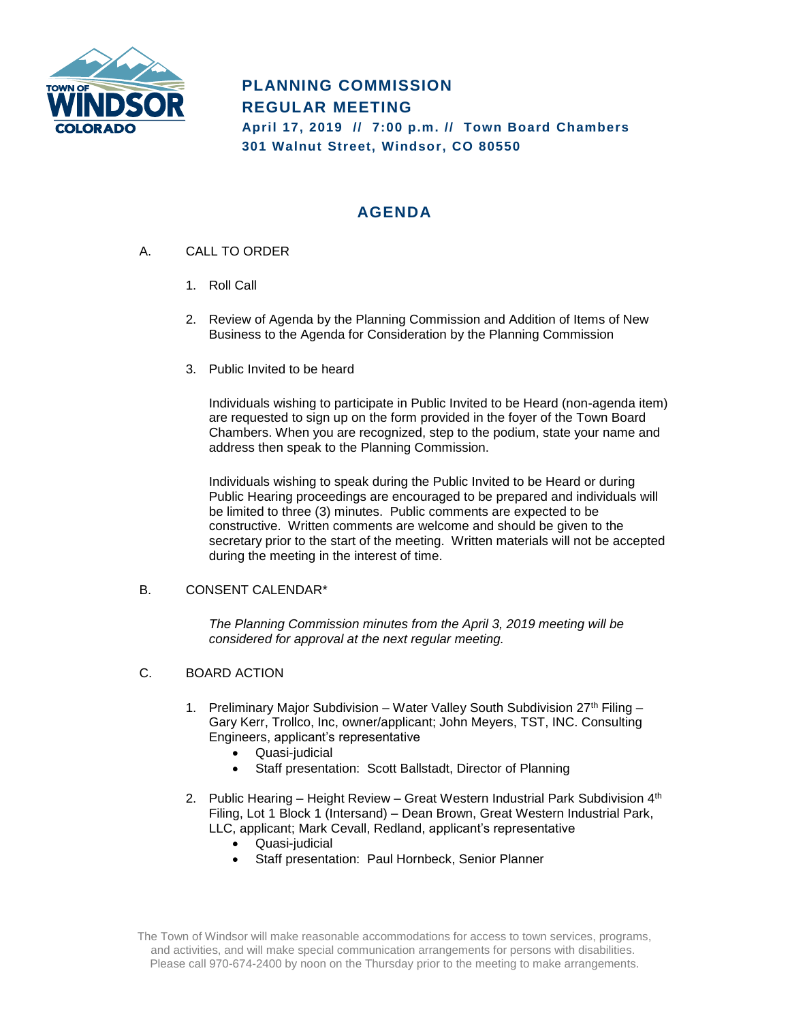

# **PLANNING COMMISSION REGULAR MEETING April 17, 2019 // 7:00 p.m. // Town Board Chambers 301 Walnut Street, Windsor, CO 80550**

## **AGENDA**

- A. CALL TO ORDER
	- 1. Roll Call
	- 2. Review of Agenda by the Planning Commission and Addition of Items of New Business to the Agenda for Consideration by the Planning Commission
	- 3. Public Invited to be heard

Individuals wishing to participate in Public Invited to be Heard (non-agenda item) are requested to sign up on the form provided in the foyer of the Town Board Chambers. When you are recognized, step to the podium, state your name and address then speak to the Planning Commission.

Individuals wishing to speak during the Public Invited to be Heard or during Public Hearing proceedings are encouraged to be prepared and individuals will be limited to three (3) minutes. Public comments are expected to be constructive. Written comments are welcome and should be given to the secretary prior to the start of the meeting. Written materials will not be accepted during the meeting in the interest of time.

### B. CONSENT CALENDAR\*

*The Planning Commission minutes from the April 3, 2019 meeting will be considered for approval at the next regular meeting.* 

### C. BOARD ACTION

- 1. Preliminary Major Subdivision Water Valley South Subdivision  $27<sup>th</sup>$  Filing Gary Kerr, Trollco, Inc, owner/applicant; John Meyers, TST, INC. Consulting Engineers, applicant's representative
	- Quasi-judicial
	- Staff presentation: Scott Ballstadt, Director of Planning
- 2. Public Hearing Height Review Great Western Industrial Park Subdivision 4<sup>th</sup> Filing, Lot 1 Block 1 (Intersand) – Dean Brown, Great Western Industrial Park, LLC, applicant; Mark Cevall, Redland, applicant's representative
	- Quasi-judicial
		- Staff presentation: Paul Hornbeck, Senior Planner

The Town of Windsor will make reasonable accommodations for access to town services, programs, and activities, and will make special communication arrangements for persons with disabilities. Please call 970-674-2400 by noon on the Thursday prior to the meeting to make arrangements.